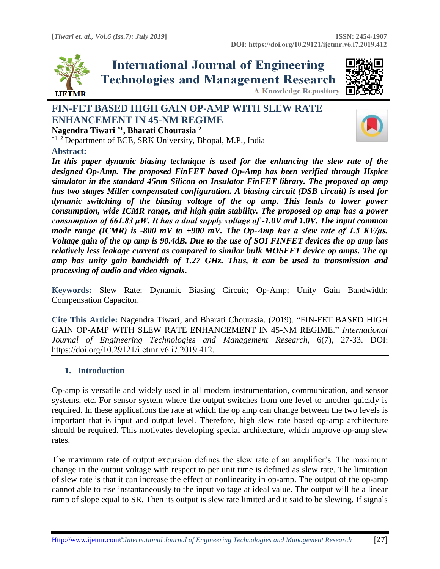

**International Journal of Engineering Technologies and Management Research A Knowledge Repository** 



# **FIN-FET BASED HIGH GAIN OP-AMP WITH SLEW RATE ENHANCEMENT IN 45-NM REGIME Nagendra Tiwari \*1, Bharati Chourasia <sup>2</sup>**

\*1, 2 Department of ECE, SRK University, Bhopal, M.P., India



**Abstract:** 

*In this paper dynamic biasing technique is used for the enhancing the slew rate of the designed Op-Amp. The proposed FinFET based Op-Amp has been verified through Hspice simulator in the standard 45nm Silicon on Insulator FinFET library. The proposed op amp has two stages Miller compensated configuration. A biasing circuit (DSB circuit) is used for dynamic switching of the biasing voltage of the op amp. This leads to lower power consumption, wide ICMR range, and high gain stability. The proposed op amp has a power consumption of 661.83 μW. It has a dual supply voltage of -1.0V and 1.0V. The input common mode range (ICMR) is -800 mV to +900 mV. The Op-Amp has a slew rate of 1.5 KV/μs. Voltage gain of the op amp is 90.4dB. Due to the use of SOI FINFET devices the op amp has relatively less leakage current as compared to similar bulk MOSFET device op amps. The op amp has unity gain bandwidth of 1.27 GHz. Thus, it can be used to transmission and processing of audio and video signals***.**

**Keywords:** Slew Rate; Dynamic Biasing Circuit; Op-Amp; Unity Gain Bandwidth; Compensation Capacitor*.* 

**Cite This Article:** Nagendra Tiwari, and Bharati Chourasia. (2019). "FIN-FET BASED HIGH GAIN OP-AMP WITH SLEW RATE ENHANCEMENT IN 45-NM REGIME." *International Journal of Engineering Technologies and Management Research,* 6(7), 27-33. DOI: https://doi.org/10.29121/ijetmr.v6.i7.2019.412.

## **1. Introduction**

Op-amp is versatile and widely used in all modern instrumentation, communication, and sensor systems, etc. For sensor system where the output switches from one level to another quickly is required. In these applications the rate at which the op amp can change between the two levels is important that is input and output level. Therefore, high slew rate based op-amp architecture should be required. This motivates developing special architecture, which improve op-amp slew rates.

The maximum rate of output excursion defines the slew rate of an amplifier's. The maximum change in the output voltage with respect to per unit time is defined as slew rate. The limitation of slew rate is that it can increase the effect of nonlinearity in op-amp. The output of the op-amp cannot able to rise instantaneously to the input voltage at ideal value. The output will be a linear ramp of slope equal to SR. Then its output is slew rate limited and it said to be slewing. If signals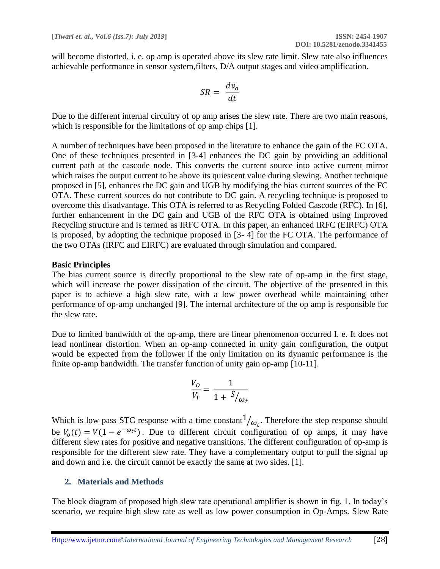will become distorted, i. e. op amp is operated above its slew rate limit. Slew rate also influences achievable performance in sensor system,filters, D/A output stages and video amplification.

$$
SR = \frac{dv_o}{dt}
$$

Due to the different internal circuitry of op amp arises the slew rate. There are two main reasons, which is responsible for the limitations of op amp chips [1].

A number of techniques have been proposed in the literature to enhance the gain of the FC OTA. One of these techniques presented in [3-4] enhances the DC gain by providing an additional current path at the cascode node. This converts the current source into active current mirror which raises the output current to be above its quiescent value during slewing. Another technique proposed in [5], enhances the DC gain and UGB by modifying the bias current sources of the FC OTA. These current sources do not contribute to DC gain. A recycling technique is proposed to overcome this disadvantage. This OTA is referred to as Recycling Folded Cascode (RFC). In [6], further enhancement in the DC gain and UGB of the RFC OTA is obtained using Improved Recycling structure and is termed as IRFC OTA. In this paper, an enhanced IRFC (EIRFC) OTA is proposed, by adopting the technique proposed in [3- 4] for the FC OTA. The performance of the two OTAs (IRFC and EIRFC) are evaluated through simulation and compared.

### **Basic Principles**

The bias current source is directly proportional to the slew rate of op-amp in the first stage, which will increase the power dissipation of the circuit. The objective of the presented in this paper is to achieve a high slew rate, with a low power overhead while maintaining other performance of op-amp unchanged [9]. The internal architecture of the op amp is responsible for the slew rate.

Due to limited bandwidth of the op-amp, there are linear phenomenon occurred I. e. It does not lead nonlinear distortion. When an op-amp connected in unity gain configuration, the output would be expected from the follower if the only limitation on its dynamic performance is the finite op-amp bandwidth. The transfer function of unity gain op-amp [10-11].

$$
\frac{V_O}{V_i} = \frac{1}{1 + \frac{S}{\omega_t}}
$$

Which is low pass STC response with a time constant  $1/\omega_t$ . Therefore the step response should be  $V_0(t) = V(1 - e^{-\omega_t t})$ . Due to different circuit configuration of op amps, it may have different slew rates for positive and negative transitions. The different configuration of op-amp is responsible for the different slew rate. They have a complementary output to pull the signal up and down and i.e. the circuit cannot be exactly the same at two sides. [1].

## **2. Materials and Methods**

The block diagram of proposed high slew rate operational amplifier is shown in fig. 1. In today's scenario, we require high slew rate as well as low power consumption in Op-Amps. Slew Rate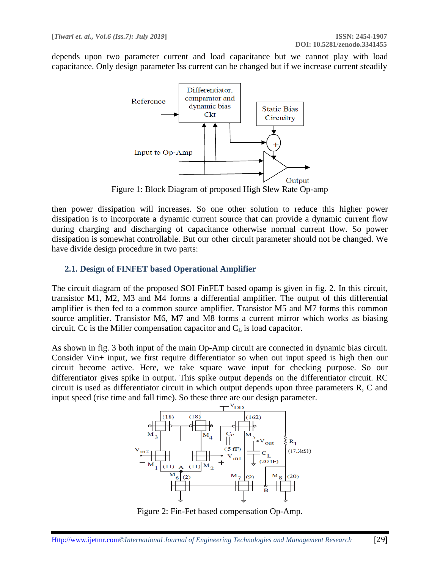depends upon two parameter current and load capacitance but we cannot play with load capacitance. Only design parameter Iss current can be changed but if we increase current steadily



Figure 1: Block Diagram of proposed High Slew Rate Op-amp

then power dissipation will increases. So one other solution to reduce this higher power dissipation is to incorporate a dynamic current source that can provide a dynamic current flow during charging and discharging of capacitance otherwise normal current flow. So power dissipation is somewhat controllable. But our other circuit parameter should not be changed. We have divide design procedure in two parts:

## **2.1. Design of FINFET based Operational Amplifier**

The circuit diagram of the proposed SOI FinFET based opamp is given in fig. 2. In this circuit, transistor M1, M2, M3 and M4 forms a differential amplifier. The output of this differential amplifier is then fed to a common source amplifier. Transistor M5 and M7 forms this common source amplifier. Transistor M6, M7 and M8 forms a current mirror which works as biasing circuit. Cc is the Miller compensation capacitor and  $C<sub>L</sub>$  is load capacitor.

As shown in fig. 3 both input of the main Op-Amp circuit are connected in dynamic bias circuit. Consider Vin+ input, we first require differentiator so when out input speed is high then our circuit become active. Here, we take square wave input for checking purpose. So our differentiator gives spike in output. This spike output depends on the differentiator circuit. RC circuit is used as differentiator circuit in which output depends upon three parameters R, C and input speed (rise time and fall time). So these three are our design parameter.



Figure 2: Fin-Fet based compensation Op-Amp.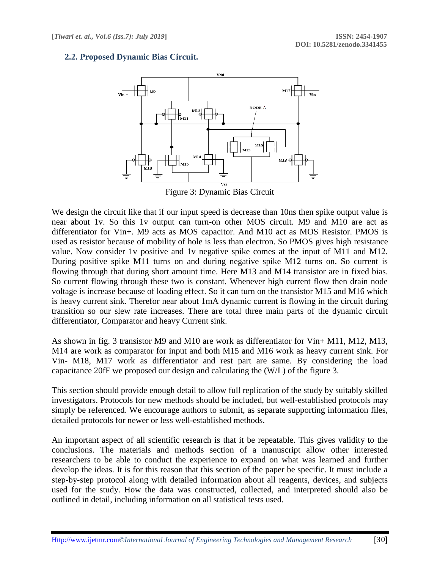## **2.2. Proposed Dynamic Bias Circuit.**



We design the circuit like that if our input speed is decrease than 10ns then spike output value is near about 1v. So this 1v output can turn-on other MOS circuit. M9 and M10 are act as differentiator for Vin+. M9 acts as MOS capacitor. And M10 act as MOS Resistor. PMOS is used as resistor because of mobility of hole is less than electron. So PMOS gives high resistance value. Now consider 1v positive and 1v negative spike comes at the input of M11 and M12. During positive spike M11 turns on and during negative spike M12 turns on. So current is flowing through that during short amount time. Here M13 and M14 transistor are in fixed bias. So current flowing through these two is constant. Whenever high current flow then drain node voltage is increase because of loading effect. So it can turn on the transistor M15 and M16 which is heavy current sink. Therefor near about 1mA dynamic current is flowing in the circuit during transition so our slew rate increases. There are total three main parts of the dynamic circuit differentiator, Comparator and heavy Current sink.

As shown in fig. 3 transistor M9 and M10 are work as differentiator for Vin+ M11, M12, M13, M14 are work as comparator for input and both M15 and M16 work as heavy current sink. For Vin- M18, M17 work as differentiator and rest part are same. By considering the load capacitance 20fF we proposed our design and calculating the (W/L) of the figure 3.

This section should provide enough detail to allow full replication of the study by suitably skilled investigators. Protocols for new methods should be included, but well-established protocols may simply be referenced. We encourage authors to submit, as separate supporting information files, detailed protocols for newer or less well-established methods.

An important aspect of all scientific research is that it be repeatable. This gives validity to the conclusions. The materials and methods section of a manuscript allow other interested researchers to be able to conduct the experience to expand on what was learned and further develop the ideas. It is for this reason that this section of the paper be specific. It must include a step-by-step protocol along with detailed information about all reagents, devices, and subjects used for the study. How the data was constructed, collected, and interpreted should also be outlined in detail, including information on all statistical tests used.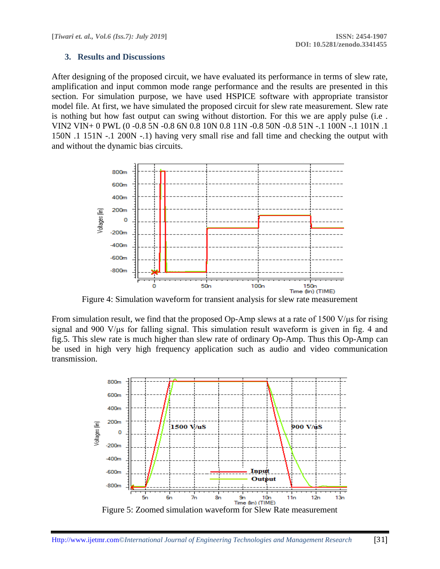### **3. Results and Discussions**

After designing of the proposed circuit, we have evaluated its performance in terms of slew rate, amplification and input common mode range performance and the results are presented in this section. For simulation purpose, we have used HSPICE software with appropriate transistor model file. At first, we have simulated the proposed circuit for slew rate measurement. Slew rate is nothing but how fast output can swing without distortion. For this we are apply pulse (i.e . VIN2 VIN+ 0 PWL (0 -0.8 5N -0.8 6N 0.8 10N 0.8 11N -0.8 50N -0.8 51N -.1 100N -.1 101N .1 150N .1 151N -.1 200N -.1) having very small rise and fall time and checking the output with and without the dynamic bias circuits.



Figure 4: Simulation waveform for transient analysis for slew rate measurement

From simulation result, we find that the proposed Op-Amp slews at a rate of 1500 V/μs for rising signal and 900 V/μs for falling signal. This simulation result waveform is given in fig. 4 and fig.5. This slew rate is much higher than slew rate of ordinary Op-Amp. Thus this Op-Amp can be used in high very high frequency application such as audio and video communication transmission.

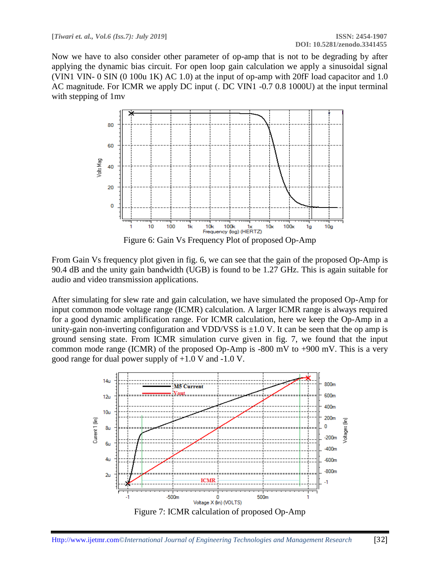Now we have to also consider other parameter of op-amp that is not to be degrading by after applying the dynamic bias circuit. For open loop gain calculation we apply a sinusoidal signal (VIN1 VIN- 0 SIN (0 100u 1K) AC 1.0) at the input of op-amp with 20fF load capacitor and 1.0 AC magnitude. For ICMR we apply DC input (. DC VIN1 -0.7 0.8 1000U) at the input terminal with stepping of 1mv



From Gain Vs frequency plot given in fig. 6, we can see that the gain of the proposed Op-Amp is 90.4 dB and the unity gain bandwidth (UGB) is found to be 1.27 GHz. This is again suitable for audio and video transmission applications.

After simulating for slew rate and gain calculation, we have simulated the proposed Op-Amp for input common mode voltage range (ICMR) calculation. A larger ICMR range is always required for a good dynamic amplification range. For ICMR calculation, here we keep the Op-Amp in a unity-gain non-inverting configuration and VDD/VSS is  $\pm 1.0$  V. It can be seen that the op amp is ground sensing state. From ICMR simulation curve given in fig. 7, we found that the input common mode range (ICMR) of the proposed Op-Amp is -800 mV to +900 mV. This is a very good range for dual power supply of +1.0 V and -1.0 V.